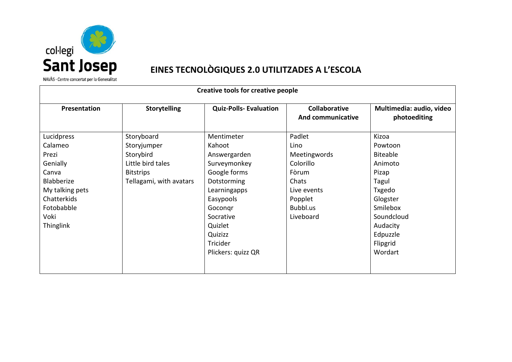

## EINES TECNOLÒGIQUES 2.0 UTILITZADES A L'ESCOLA

NAVÀS · Centre concertat per la Generalitat

| <b>Creative tools for creative people</b>                                                                                                     |                                                                                                            |                                                                                                                                                                |                                                                                                                  |                                                                                                                                          |  |
|-----------------------------------------------------------------------------------------------------------------------------------------------|------------------------------------------------------------------------------------------------------------|----------------------------------------------------------------------------------------------------------------------------------------------------------------|------------------------------------------------------------------------------------------------------------------|------------------------------------------------------------------------------------------------------------------------------------------|--|
| Presentation                                                                                                                                  | <b>Storytelling</b>                                                                                        | <b>Quiz-Polls-Evaluation</b>                                                                                                                                   | <b>Collaborative</b><br><b>And communicative</b>                                                                 | Multimedia: audio, video<br>photoediting                                                                                                 |  |
| Lucidpress<br>Calameo<br>Prezi<br>Genially<br>Canva<br>Blabberize<br>My talking pets<br>Chatterkids<br>Fotobabble<br>Voki<br><b>Thinglink</b> | Storyboard<br>Storyjumper<br>Storybird<br>Little bird tales<br><b>Bitstrips</b><br>Tellagami, with avatars | Mentimeter<br>Kahoot<br>Answergarden<br>Surveymonkey<br>Google forms<br>Dotstorming<br>Learningapps<br>Easypools<br>Gocongr<br>Socrative<br>Quizlet<br>Quizizz | Padlet<br>Lino<br>Meetingwords<br>Colorillo<br>Fòrum<br>Chats<br>Live events<br>Popplet<br>Bubbl.us<br>Liveboard | Kizoa<br>Powtoon<br><b>Biteable</b><br>Animoto<br>Pizap<br>Tagul<br>Txgedo<br>Glogster<br>Smilebox<br>Soundcloud<br>Audacity<br>Edpuzzle |  |
|                                                                                                                                               |                                                                                                            | Tricider<br>Plickers: quizz QR                                                                                                                                 |                                                                                                                  | Flipgrid<br>Wordart                                                                                                                      |  |